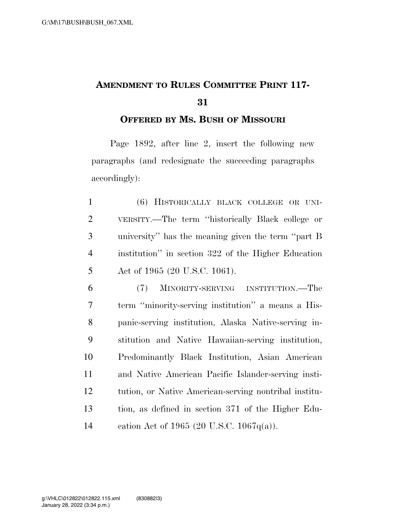## **AMENDMENT TO RULES COMMITTEE PRINT 117-**

**OFFERED BY MS. BUSH OF MISSOURI**

Page 1892, after line 2, insert the following new paragraphs (and redesignate the succeeding paragraphs accordingly):

 (6) HISTORICALLY BLACK COLLEGE OR UNI- VERSITY.—The term ''historically Black college or university'' has the meaning given the term ''part B institution'' in section 322 of the Higher Education Act of 1965 (20 U.S.C. 1061).

 (7) MINORITY-SERVING INSTITUTION.—The term ''minority-serving institution'' a means a His- panic-serving institution, Alaska Native-serving in- stitution and Native Hawaiian-serving institution, Predominantly Black Institution, Asian American and Native American Pacific Islander-serving insti- tution, or Native American-serving nontribal institu- tion, as defined in section 371 of the Higher Edu-cation Act of 1965 (20 U.S.C. 1067q(a)).